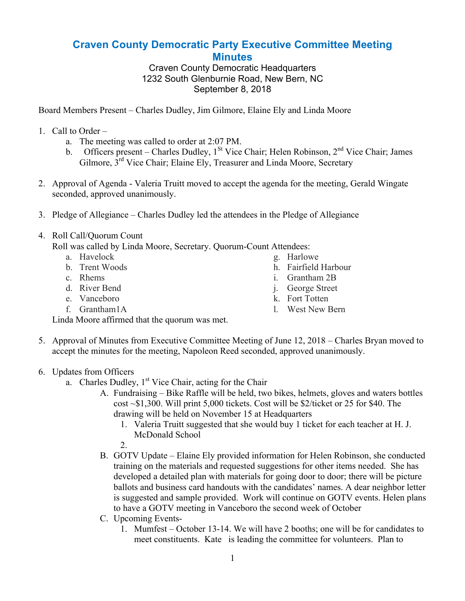## **Craven County Democratic Party Executive Committee Meeting Minutes**

Craven County Democratic Headquarters 1232 South Glenburnie Road, New Bern, NC September 8, 2018

Board Members Present – Charles Dudley, Jim Gilmore, Elaine Ely and Linda Moore

- 1. Call to Order
	- a. The meeting was called to order at 2:07 PM.
	- b. Officers present Charles Dudley,  $1<sup>St</sup>$  Vice Chair; Helen Robinson,  $2<sup>nd</sup>$  Vice Chair; James Gilmore, 3<sup>rd</sup> Vice Chair; Elaine Ely, Treasurer and Linda Moore, Secretary
- 2. Approval of Agenda Valeria Truitt moved to accept the agenda for the meeting, Gerald Wingate seconded, approved unanimously.
- 3. Pledge of Allegiance Charles Dudley led the attendees in the Pledge of Allegiance
- 4. Roll Call/Quorum Count

Roll was called by Linda Moore, Secretary. Quorum-Count Attendees:

- a. Havelock
- b. Trent Woods
- c. Rhems
- d. River Bend
- e. Vanceboro
- f. Grantham1A
- g. Harlowe
- h. Fairfield Harbour
- i. Grantham 2B
- j. George Street
- k. Fort Totten
- l. West New Bern

Linda Moore affirmed that the quorum was met.

- 5. Approval of Minutes from Executive Committee Meeting of June 12, 2018 Charles Bryan moved to accept the minutes for the meeting, Napoleon Reed seconded, approved unanimously.
- 6. Updates from Officers
	- a. Charles Dudley,  $1<sup>st</sup>$  Vice Chair, acting for the Chair
		- A. Fundraising Bike Raffle will be held, two bikes, helmets, gloves and waters bottles cost  $\sim$ \$1,300. Will print 5,000 tickets. Cost will be \$2/ticket or 25 for \$40. The drawing will be held on November 15 at Headquarters
			- 1. Valeria Truitt suggested that she would buy 1 ticket for each teacher at H. J. McDonald School
			- 2.
		- B. GOTV Update Elaine Ely provided information for Helen Robinson, she conducted training on the materials and requested suggestions for other items needed. She has developed a detailed plan with materials for going door to door; there will be picture ballots and business card handouts with the candidates' names. A dear neighbor letter is suggested and sample provided. Work will continue on GOTV events. Helen plans to have a GOTV meeting in Vanceboro the second week of October
		- C. Upcoming Events-
			- 1. Mumfest October 13-14. We will have 2 booths; one will be for candidates to meet constituents. Kate is leading the committee for volunteers. Plan to